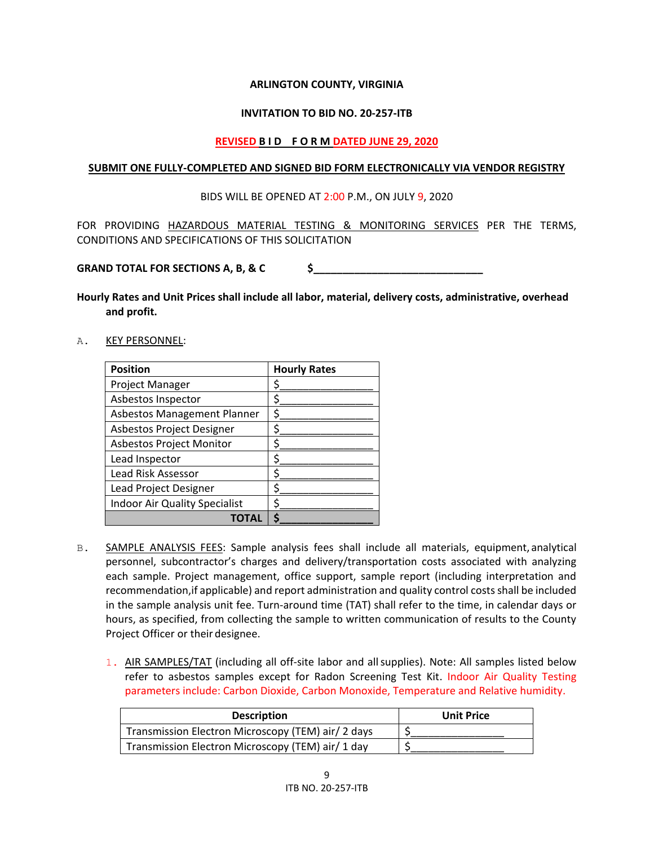## **ARLINGTON COUNTY, VIRGINIA**

## **INVITATION TO BID NO. 20-257-ITB**

## **REVISED B I D F O R M DATED JUNE 29, 2020**

#### **SUBMIT ONE FULLY-COMPLETED AND SIGNED BID FORM ELECTRONICALLY VIA VENDOR REGISTRY**

## BIDS WILL BE OPENED AT 2:00 P.M., ON JULY 9, 2020

FOR PROVIDING HAZARDOUS MATERIAL TESTING & MONITORING SERVICES PER THE TERMS, CONDITIONS AND SPECIFICATIONS OF THIS SOLICITATION

**GRAND TOTAL FOR SECTIONS A, B, & C \$\_\_\_\_\_\_\_\_\_\_\_\_\_\_\_\_\_\_\_\_\_\_\_\_\_\_\_\_\_**

- **Hourly Rates and Unit Prices shall include all labor, material, delivery costs, administrative, overhead and profit.**
- A. KEY PERSONNEL:

| <b>Position</b>                      | <b>Hourly Rates</b> |
|--------------------------------------|---------------------|
| Project Manager                      |                     |
| Asbestos Inspector                   |                     |
| <b>Asbestos Management Planner</b>   |                     |
| Asbestos Project Designer            |                     |
| <b>Asbestos Project Monitor</b>      |                     |
| Lead Inspector                       |                     |
| Lead Risk Assessor                   |                     |
| Lead Project Designer                |                     |
| <b>Indoor Air Quality Specialist</b> |                     |
|                                      |                     |

- B. SAMPLE ANALYSIS FEES: Sample analysis fees shall include all materials, equipment, analytical personnel, subcontractor's charges and delivery/transportation costs associated with analyzing each sample. Project management, office support, sample report (including interpretation and recommendation,if applicable) and report administration and quality control costs shall be included in the sample analysis unit fee. Turn-around time (TAT) shall refer to the time, in calendar days or hours, as specified, from collecting the sample to written communication of results to the County Project Officer or their designee.
	- 1. AIR SAMPLES/TAT (including all off-site labor and allsupplies). Note: All samples listed below refer to asbestos samples except for Radon Screening Test Kit. Indoor Air Quality Testing parameters include: Carbon Dioxide, Carbon Monoxide, Temperature and Relative humidity.

| <b>Description</b>                                 | <b>Unit Price</b> |
|----------------------------------------------------|-------------------|
| Transmission Electron Microscopy (TEM) air/ 2 days |                   |
| Transmission Electron Microscopy (TEM) air/ 1 day  |                   |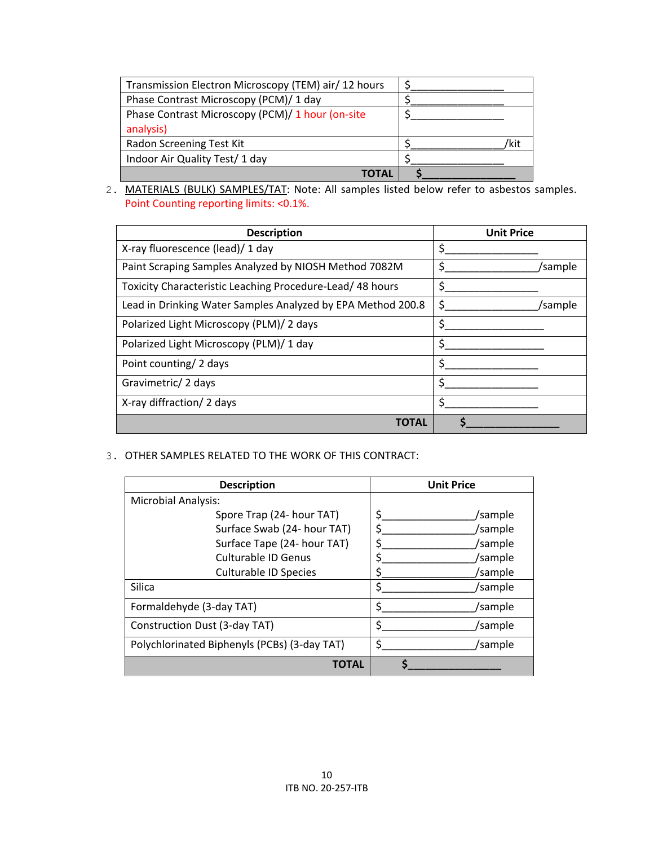| Transmission Electron Microscopy (TEM) air/ 12 hours |  |
|------------------------------------------------------|--|
| Phase Contrast Microscopy (PCM)/ 1 day               |  |
| Phase Contrast Microscopy (PCM)/ 1 hour (on-site     |  |
| analysis)                                            |  |
| Radon Screening Test Kit                             |  |
| Indoor Air Quality Test/ 1 day                       |  |
| <b>COTAL</b>                                         |  |

# 2. MATERIALS (BULK) SAMPLES/TAT: Note: All samples listed below refer to asbestos samples. Point Counting reporting limits: <0.1%.

| <b>Description</b>                                          | <b>Unit Price</b> |
|-------------------------------------------------------------|-------------------|
| X-ray fluorescence (lead)/ 1 day                            | Ŝ.                |
| Paint Scraping Samples Analyzed by NIOSH Method 7082M       | 'sample           |
| Toxicity Characteristic Leaching Procedure-Lead/ 48 hours   | Ś                 |
| Lead in Drinking Water Samples Analyzed by EPA Method 200.8 | Ś.<br>'sample     |
| Polarized Light Microscopy (PLM)/2 days                     | Ŝ.                |
| Polarized Light Microscopy (PLM)/ 1 day                     | $\zeta$           |
| Point counting/ 2 days                                      | S.                |
| Gravimetric/2 days                                          | $\zeta$           |
| X-ray diffraction/2 days                                    |                   |
| ΤΟΤΑΙ                                                       |                   |

## 3. OTHER SAMPLES RELATED TO THE WORK OF THIS CONTRACT:

| <b>Description</b>                           | <b>Unit Price</b> |
|----------------------------------------------|-------------------|
| <b>Microbial Analysis:</b>                   |                   |
| Spore Trap (24- hour TAT)                    | Ś<br>/sample      |
| Surface Swab (24- hour TAT)                  | Ś.<br>/sample     |
| Surface Tape (24- hour TAT)                  | \$<br>/sample     |
| Culturable ID Genus                          | \$<br>/sample     |
| Culturable ID Species                        | \$<br>'sample     |
| Silica                                       | \$<br>/sample     |
| Formaldehyde (3-day TAT)                     | \$<br>/sample     |
| Construction Dust (3-day TAT)                | \$<br>/sample     |
| Polychlorinated Biphenyls (PCBs) (3-day TAT) | Ś<br>/sample      |
| TOTAL                                        |                   |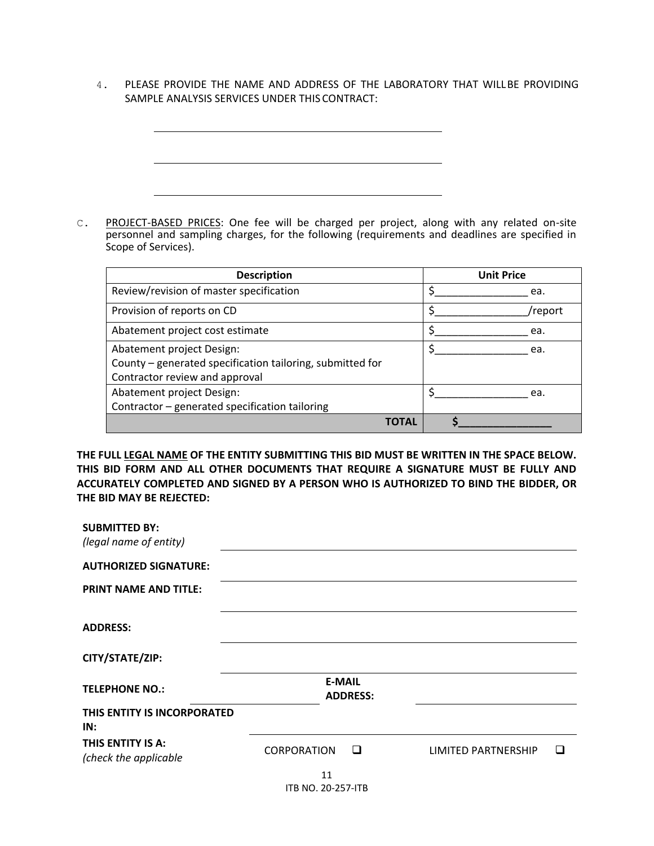4. PLEASE PROVIDE THE NAME AND ADDRESS OF THE LABORATORY THAT WILLBE PROVIDING SAMPLE ANALYSIS SERVICES UNDER THIS CONTRACT:

C. PROJECT-BASED PRICES: One fee will be charged per project, along with any related on-site personnel and sampling charges, for the following (requirements and deadlines are specified in Scope of Services).

| <b>Description</b>                                        | <b>Unit Price</b> |
|-----------------------------------------------------------|-------------------|
| Review/revision of master specification                   | ea.               |
| Provision of reports on CD                                | report/           |
| Abatement project cost estimate                           | ea.               |
| Abatement project Design:                                 | ea.               |
| County – generated specification tailoring, submitted for |                   |
| Contractor review and approval                            |                   |
| Abatement project Design:                                 | ea.               |
| Contractor – generated specification tailoring            |                   |
| <b>OTAL</b>                                               |                   |

**THE FULL LEGAL NAME OF THE ENTITY SUBMITTING THIS BID MUST BE WRITTEN IN THE SPACE BELOW. THIS BID FORM AND ALL OTHER DOCUMENTS THAT REQUIRE A SIGNATURE MUST BE FULLY AND ACCURATELY COMPLETED AND SIGNED BY A PERSON WHO IS AUTHORIZED TO BIND THE BIDDER, OR THE BID MAY BE REJECTED:**

| <b>SUBMITTED BY:</b>                       |                                  |                     |  |
|--------------------------------------------|----------------------------------|---------------------|--|
| (legal name of entity)                     |                                  |                     |  |
| <b>AUTHORIZED SIGNATURE:</b>               |                                  |                     |  |
| <b>PRINT NAME AND TITLE:</b>               |                                  |                     |  |
| <b>ADDRESS:</b>                            |                                  |                     |  |
| CITY/STATE/ZIP:                            |                                  |                     |  |
| <b>TELEPHONE NO.:</b>                      | <b>E-MAIL</b><br><b>ADDRESS:</b> |                     |  |
| THIS ENTITY IS INCORPORATED<br>IN:         |                                  |                     |  |
| THIS ENTITY IS A:<br>(check the applicable | <b>CORPORATION</b><br>□          | LIMITED PARTNERSHIP |  |
|                                            | 11                               |                     |  |
|                                            | ITB NO. 20-257-ITB               |                     |  |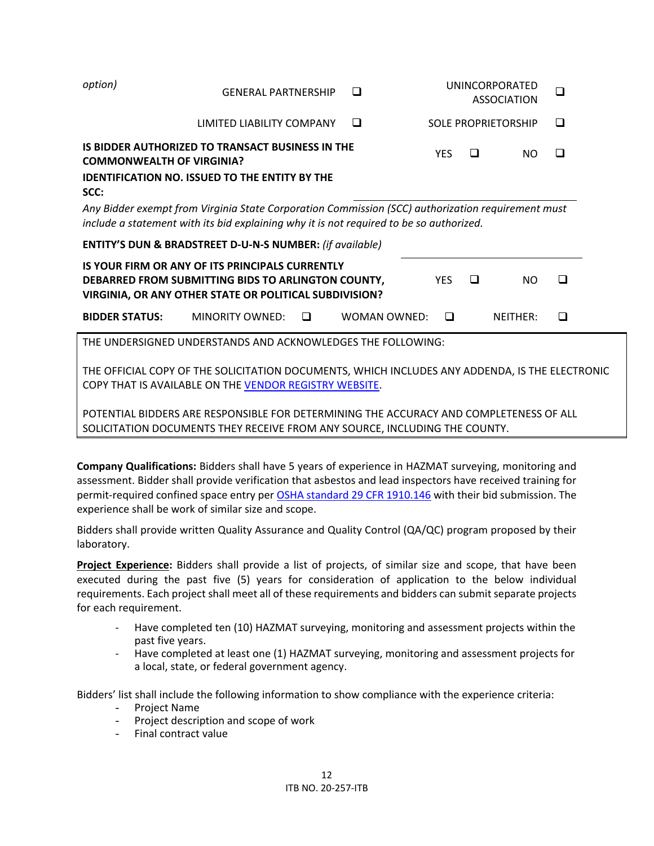| □<br>LIMITED LIABILITY COMPANY<br>□<br><b>SOLE PROPRIETORSHIP</b><br>IS BIDDER AUTHORIZED TO TRANSACT BUSINESS IN THE<br><b>YES</b><br>□<br><b>NO</b><br>□<br><b>COMMONWEALTH OF VIRGINIA?</b><br><b>IDENTIFICATION NO. ISSUED TO THE ENTITY BY THE</b><br>SCC:<br>Any Bidder exempt from Virginia State Corporation Commission (SCC) authorization requirement must<br>include a statement with its bid explaining why it is not required to be so authorized.<br><b>ENTITY'S DUN &amp; BRADSTREET D-U-N-S NUMBER: (if available)</b><br>IS YOUR FIRM OR ANY OF ITS PRINCIPALS CURRENTLY<br>□<br>DEBARRED FROM SUBMITTING BIDS TO ARLINGTON COUNTY,<br><b>YES</b><br><b>NO</b><br>◻<br>VIRGINIA, OR ANY OTHER STATE OR POLITICAL SUBDIVISION?<br><b>BIDDER STATUS:</b><br>MINORITY OWNED:<br>WOMAN OWNED:<br>NEITHER:<br>□<br>□<br>□<br>THE UNDERSIGNED UNDERSTANDS AND ACKNOWLEDGES THE FOLLOWING:<br>THE OFFICIAL COPY OF THE SOLICITATION DOCUMENTS, WHICH INCLUDES ANY ADDENDA, IS THE ELECTRONIC | option) | <b>GENERAL PARTNERSHIP</b> | □ |  | UNINCORPORATED<br><b>ASSOCIATION</b> | $\Box$ |
|--------------------------------------------------------------------------------------------------------------------------------------------------------------------------------------------------------------------------------------------------------------------------------------------------------------------------------------------------------------------------------------------------------------------------------------------------------------------------------------------------------------------------------------------------------------------------------------------------------------------------------------------------------------------------------------------------------------------------------------------------------------------------------------------------------------------------------------------------------------------------------------------------------------------------------------------------------------------------------------------------------|---------|----------------------------|---|--|--------------------------------------|--------|
|                                                                                                                                                                                                                                                                                                                                                                                                                                                                                                                                                                                                                                                                                                                                                                                                                                                                                                                                                                                                        |         |                            |   |  |                                      |        |
|                                                                                                                                                                                                                                                                                                                                                                                                                                                                                                                                                                                                                                                                                                                                                                                                                                                                                                                                                                                                        |         |                            |   |  |                                      |        |
|                                                                                                                                                                                                                                                                                                                                                                                                                                                                                                                                                                                                                                                                                                                                                                                                                                                                                                                                                                                                        |         |                            |   |  |                                      |        |
|                                                                                                                                                                                                                                                                                                                                                                                                                                                                                                                                                                                                                                                                                                                                                                                                                                                                                                                                                                                                        |         |                            |   |  |                                      |        |
|                                                                                                                                                                                                                                                                                                                                                                                                                                                                                                                                                                                                                                                                                                                                                                                                                                                                                                                                                                                                        |         |                            |   |  |                                      |        |
|                                                                                                                                                                                                                                                                                                                                                                                                                                                                                                                                                                                                                                                                                                                                                                                                                                                                                                                                                                                                        |         |                            |   |  |                                      |        |
|                                                                                                                                                                                                                                                                                                                                                                                                                                                                                                                                                                                                                                                                                                                                                                                                                                                                                                                                                                                                        |         |                            |   |  |                                      |        |
|                                                                                                                                                                                                                                                                                                                                                                                                                                                                                                                                                                                                                                                                                                                                                                                                                                                                                                                                                                                                        |         |                            |   |  |                                      |        |
| COPY THAT IS AVAILABLE ON THE VENDOR REGISTRY WEBSITE.<br><b>DOTENTIAL DIDDEDC ADE DECDOMCIDI E FOD DETEDIAINIMO THE ACCHINACY AND COMADI ETEMECC OF ALL</b>                                                                                                                                                                                                                                                                                                                                                                                                                                                                                                                                                                                                                                                                                                                                                                                                                                           |         |                            |   |  |                                      |        |

POTENTIAL BIDDERS ARE RESPONSIBLE FOR DETERMINING THE ACCURACY AND COMPLETENESS OF ALL SOLICITATION DOCUMENTS THEY RECEIVE FROM ANY SOURCE, INCLUDING THE COUNTY.

**Company Qualifications:** Bidders shall have 5 years of experience in HAZMAT surveying, monitoring and assessment. Bidder shall provide verification that asbestos and lead inspectors have received training for permit-required confined space entry per [OSHA standard 29 CFR 1910.146](https://www.osha.gov/laws-regs/regulations/standardnumber/1910/1910.146) with their bid submission. The experience shall be work of similar size and scope.

Bidders shall provide written Quality Assurance and Quality Control (QA/QC) program proposed by their laboratory.

**Project Experience:** Bidders shall provide a list of projects, of similar size and scope, that have been executed during the past five (5) years for consideration of application to the below individual requirements. Each project shall meet all of these requirements and bidders can submit separate projects for each requirement.

- Have completed ten (10) HAZMAT surveying, monitoring and assessment projects within the past five years.
- Have completed at least one (1) HAZMAT surveying, monitoring and assessment projects for a local, state, or federal government agency.

Bidders' list shall include the following information to show compliance with the experience criteria:

- Project Name
- Project description and scope of work
- Final contract value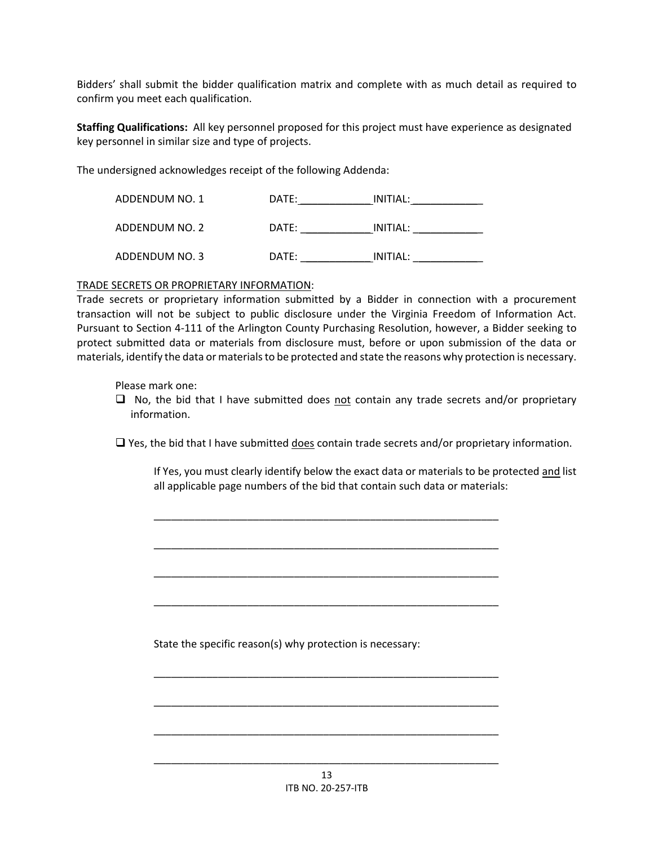Bidders' shall submit the bidder qualification matrix and complete with as much detail as required to confirm you meet each qualification.

**Staffing Qualifications:** All key personnel proposed for this project must have experience as designated key personnel in similar size and type of projects.

The undersigned acknowledges receipt of the following Addenda:

| ADDENDUM NO. 1 | DATE: | INITIAL: |  |
|----------------|-------|----------|--|
| ADDENDUM NO. 2 | DATE: | INITIAL: |  |
| ADDENDUM NO. 3 | DATE: | INITIAL: |  |

#### TRADE SECRETS OR PROPRIETARY INFORMATION:

Trade secrets or proprietary information submitted by a Bidder in connection with a procurement transaction will not be subject to public disclosure under the Virginia Freedom of Information Act. Pursuant to Section 4-111 of the Arlington County Purchasing Resolution, however, a Bidder seeking to protect submitted data or materials from disclosure must, before or upon submission of the data or materials, identify the data or materials to be protected and state the reasons why protection is necessary.

Please mark one:

 $\Box$  No, the bid that I have submitted does not contain any trade secrets and/or proprietary information.

□ Yes, the bid that I have submitted does contain trade secrets and/or proprietary information.

\_\_\_\_\_\_\_\_\_\_\_\_\_\_\_\_\_\_\_\_\_\_\_\_\_\_\_\_\_\_\_\_\_\_\_\_\_\_\_\_\_\_\_\_\_\_\_\_\_\_\_\_\_\_\_\_\_\_\_

\_\_\_\_\_\_\_\_\_\_\_\_\_\_\_\_\_\_\_\_\_\_\_\_\_\_\_\_\_\_\_\_\_\_\_\_\_\_\_\_\_\_\_\_\_\_\_\_\_\_\_\_\_\_\_\_\_\_\_

\_\_\_\_\_\_\_\_\_\_\_\_\_\_\_\_\_\_\_\_\_\_\_\_\_\_\_\_\_\_\_\_\_\_\_\_\_\_\_\_\_\_\_\_\_\_\_\_\_\_\_\_\_\_\_\_\_\_\_

\_\_\_\_\_\_\_\_\_\_\_\_\_\_\_\_\_\_\_\_\_\_\_\_\_\_\_\_\_\_\_\_\_\_\_\_\_\_\_\_\_\_\_\_\_\_\_\_\_\_\_\_\_\_\_\_\_\_\_

\_\_\_\_\_\_\_\_\_\_\_\_\_\_\_\_\_\_\_\_\_\_\_\_\_\_\_\_\_\_\_\_\_\_\_\_\_\_\_\_\_\_\_\_\_\_\_\_\_\_\_\_\_\_\_\_\_\_\_

\_\_\_\_\_\_\_\_\_\_\_\_\_\_\_\_\_\_\_\_\_\_\_\_\_\_\_\_\_\_\_\_\_\_\_\_\_\_\_\_\_\_\_\_\_\_\_\_\_\_\_\_\_\_\_\_\_\_\_

\_\_\_\_\_\_\_\_\_\_\_\_\_\_\_\_\_\_\_\_\_\_\_\_\_\_\_\_\_\_\_\_\_\_\_\_\_\_\_\_\_\_\_\_\_\_\_\_\_\_\_\_\_\_\_\_\_\_\_

\_\_\_\_\_\_\_\_\_\_\_\_\_\_\_\_\_\_\_\_\_\_\_\_\_\_\_\_\_\_\_\_\_\_\_\_\_\_\_\_\_\_\_\_\_\_\_\_\_\_\_\_\_\_\_\_\_\_\_

If Yes, you must clearly identify below the exact data or materials to be protected and list all applicable page numbers of the bid that contain such data or materials:

State the specific reason(s) why protection is necessary: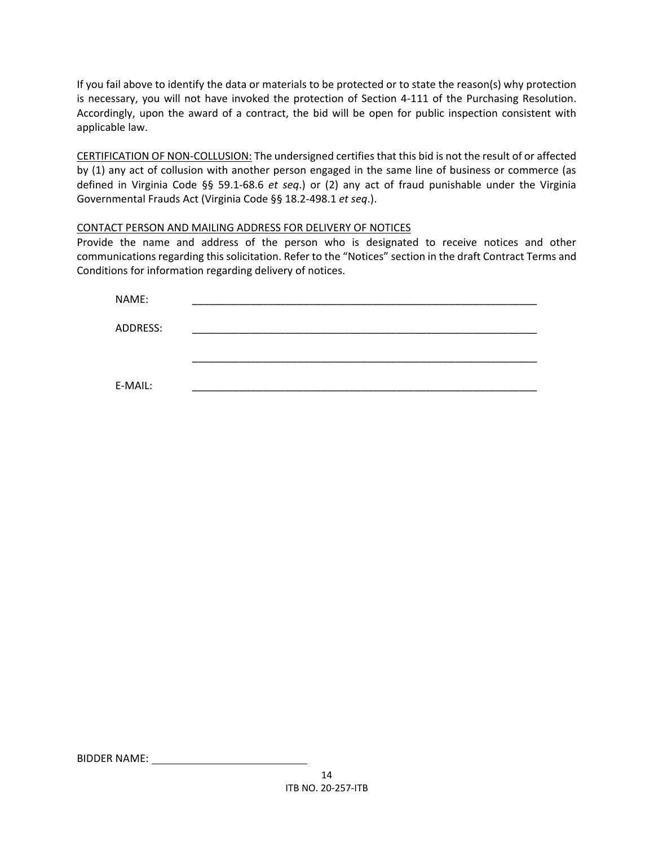If you fail above to identify the data or materials to be protected or to state the reason(s) why protection is necessary, you will not have invoked the protection of Section 4-111 of the Purchasing Resolution. Accordingly, upon the award of a contract, the bid will be open for public inspection consistent with applicable law.

CERTIFICATION OF NON-COLLUSION: The undersigned certifies that this bid is not the result of or affected by (1) any act of collusion with another person engaged in the same line of business or commerce (as defined in Virginia Code §§ 59.1-68.6 *et seq*.) or (2) any act of fraud punishable under the Virginia Governmental Frauds Act (Virginia Code §§ 18.2-498.1 *et seq*.).

## CONTACT PERSON AND MAILING ADDRESS FOR DELIVERY OF NOTICES

Provide the name and address of the person who is designated to receive notices and other communications regarding this solicitation. Refer to the "Notices" section in the draft Contract Terms and Conditions for information regarding delivery of notices.

| NAME:    |  |  |  |
|----------|--|--|--|
| ADDRESS: |  |  |  |
|          |  |  |  |
| E-MAIL:  |  |  |  |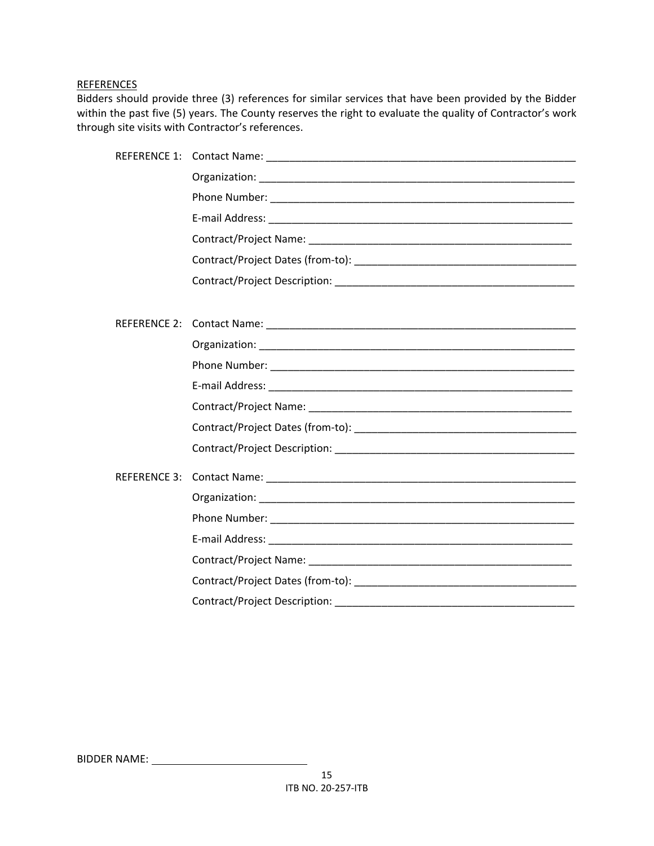**REFERENCES** 

Bidders should provide three (3) references for similar services that have been provided by the Bidder within the past five (5) years. The County reserves the right to evaluate the quality of Contractor's work through site visits with Contractor's references.

| <b>REFERENCE 2:</b> |  |
|---------------------|--|
|                     |  |
|                     |  |
|                     |  |
|                     |  |
|                     |  |
|                     |  |
| REFERENCE 3:        |  |
|                     |  |
|                     |  |
|                     |  |
|                     |  |
|                     |  |
|                     |  |